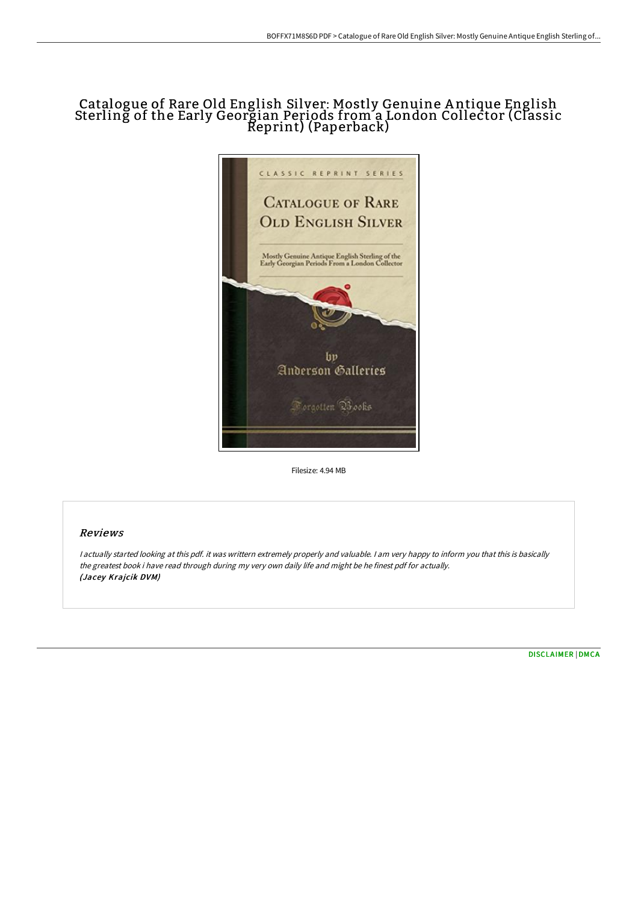## Catalogue of Rare Old English Silver: Mostly Genuine A ntique English Sterling of the Early Georgian Periods from a London Collector (Classic Reprint) (Paperback)



Filesize: 4.94 MB

## Reviews

<sup>I</sup> actually started looking at this pdf. it was writtern extremely properly and valuable. <sup>I</sup> am very happy to inform you that this is basically the greatest book i have read through during my very own daily life and might be he finest pdf for actually. (Jacey Krajcik DVM)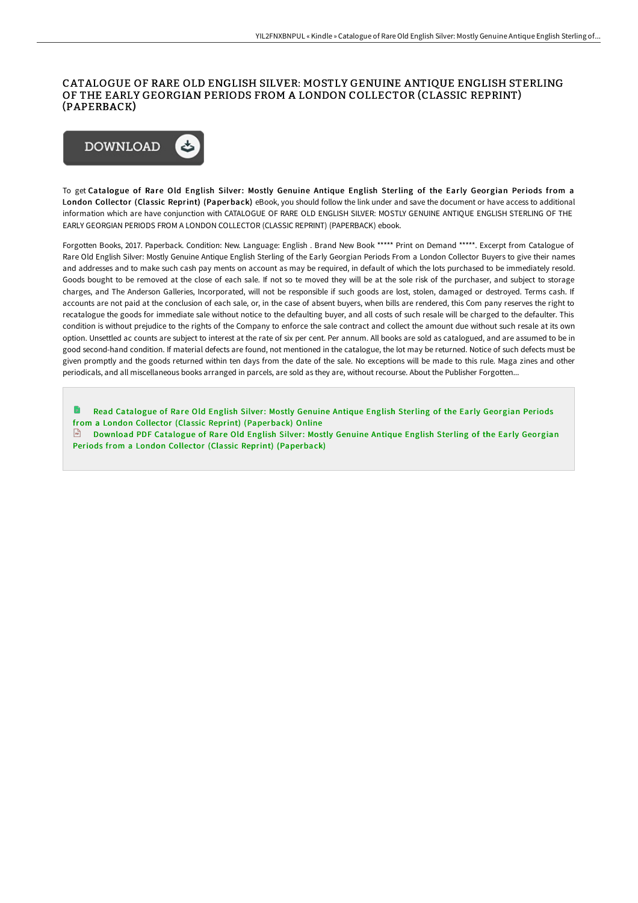## CATALOGUE OF RARE OLD ENGLISH SILVER: MOSTLY GENUINE ANTIQUE ENGLISH STERLING OF THE EARLY GEORGIAN PERIODS FROM A LONDON COLLECTOR (CLASSIC REPRINT) (PAPERBACK)



To get Catalogue of Rare Old English Silver: Mostly Genuine Antique English Sterling of the Early Georgian Periods from a London Collector (Classic Reprint) (Paperback) eBook, you should follow the link under and save the document or have access to additional information which are have conjunction with CATALOGUE OF RARE OLD ENGLISH SILVER: MOSTLY GENUINE ANTIQUE ENGLISH STERLING OF THE EARLY GEORGIAN PERIODS FROM A LONDON COLLECTOR (CLASSIC REPRINT) (PAPERBACK) ebook.

Forgotten Books, 2017. Paperback. Condition: New. Language: English . Brand New Book \*\*\*\*\* Print on Demand \*\*\*\*\*. Excerpt from Catalogue of Rare Old English Silver: Mostly Genuine Antique English Sterling of the Early Georgian Periods From a London Collector Buyers to give their names and addresses and to make such cash pay ments on account as may be required, in default of which the lots purchased to be immediately resold. Goods bought to be removed at the close of each sale. If not so te moved they will be at the sole risk of the purchaser, and subject to storage charges, and The Anderson Galleries, Incorporated, will not be responsible if such goods are lost, stolen, damaged or destroyed. Terms cash. If accounts are not paid at the conclusion of each sale, or, in the case of absent buyers, when bills are rendered, this Com pany reserves the right to recatalogue the goods for immediate sale without notice to the defaulting buyer, and all costs of such resale will be charged to the defaulter. This condition is without prejudice to the rights of the Company to enforce the sale contract and collect the amount due without such resale at its own option. Unsettled ac counts are subject to interest at the rate of six per cent. Per annum. All books are sold as catalogued, and are assumed to be in good second-hand condition. If material defects are found, not mentioned in the catalogue, the lot may be returned. Notice of such defects must be given promptly and the goods returned within ten days from the date of the sale. No exceptions will be made to this rule. Maga zines and other periodicals, and all miscellaneous books arranged in parcels, are sold as they are, without recourse. About the Publisher Forgotten...

Read Catalogue of Rare Old English Silver: Mostly Genuine Antique English Sterling of the Early Georgian Periods from a London Collector (Classic Reprint) [\(Paperback\)](http://albedo.media/catalogue-of-rare-old-english-silver-mostly-genu.html) Online Download PDF Catalogue of Rare Old English Silver: Mostly Genuine Antique English Sterling of the Early Georgian Periods from a London Collector (Classic Reprint) [\(Paperback\)](http://albedo.media/catalogue-of-rare-old-english-silver-mostly-genu.html)